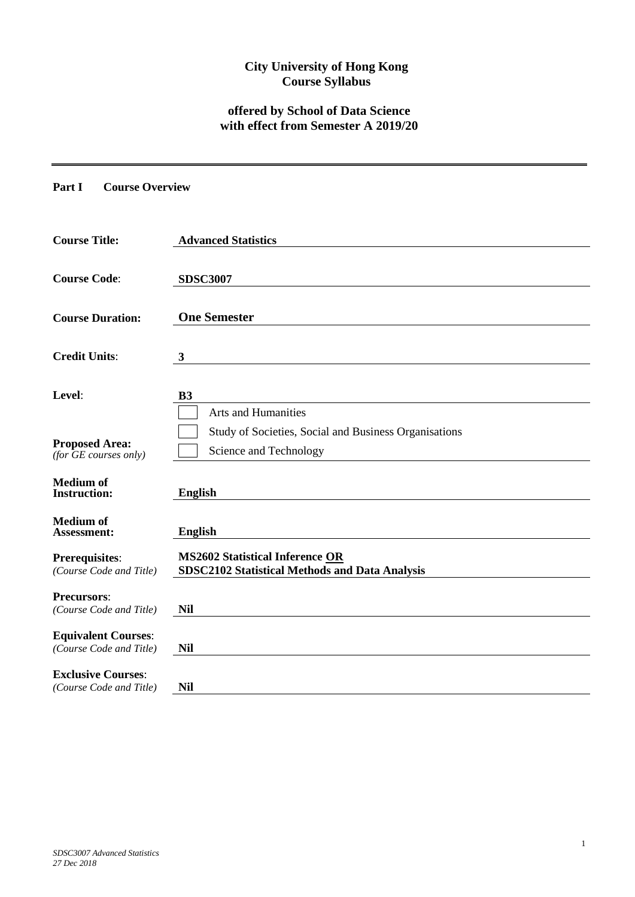## **City University of Hong Kong Course Syllabus**

# **offered by School of Data Science with effect from Semester A 2019/20**

**Part I Course Overview**

| <b>Course Title:</b>                                  | <b>Advanced Statistics</b>                                                               |
|-------------------------------------------------------|------------------------------------------------------------------------------------------|
| <b>Course Code:</b>                                   | <b>SDSC3007</b>                                                                          |
| <b>Course Duration:</b>                               | <b>One Semester</b>                                                                      |
| <b>Credit Units:</b>                                  | $\mathbf{3}$                                                                             |
| Level:                                                | <b>B3</b><br><b>Arts and Humanities</b>                                                  |
| <b>Proposed Area:</b><br>$(for$ $GE$ courses only)    | Study of Societies, Social and Business Organisations<br>Science and Technology          |
| <b>Medium</b> of<br><b>Instruction:</b>               | <b>English</b>                                                                           |
| <b>Medium</b> of<br>Assessment:                       | <b>English</b>                                                                           |
| <b>Prerequisites:</b><br>(Course Code and Title)      | <b>MS2602 Statistical Inference OR</b><br>SDSC2102 Statistical Methods and Data Analysis |
| <b>Precursors:</b><br>(Course Code and Title)         | <b>Nil</b>                                                                               |
| <b>Equivalent Courses:</b><br>(Course Code and Title) | <b>Nil</b>                                                                               |
| <b>Exclusive Courses:</b><br>(Course Code and Title)  | <b>Nil</b>                                                                               |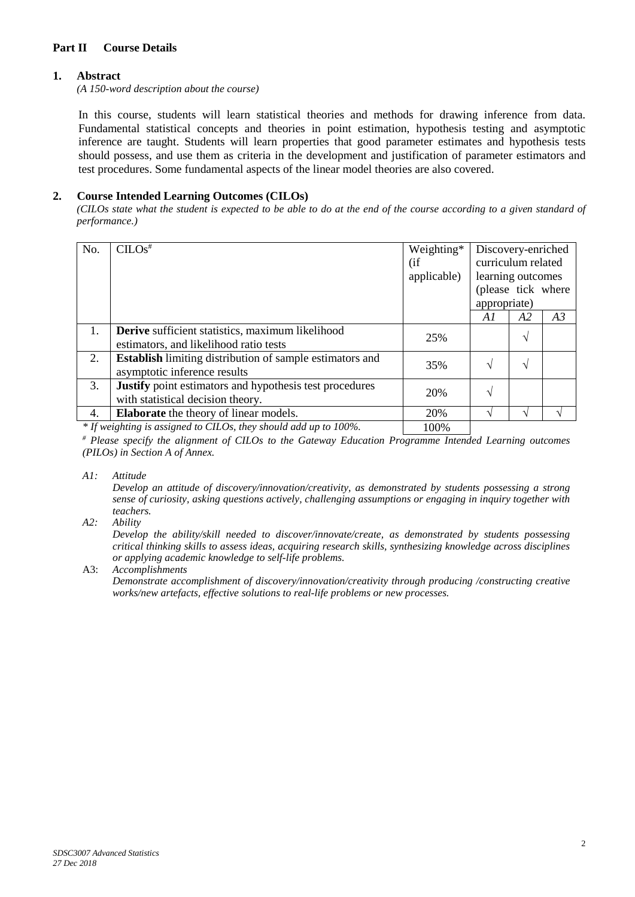### **Part II Course Details**

### **1. Abstract**

*(A 150-word description about the course)*

In this course, students will learn statistical theories and methods for drawing inference from data. Fundamental statistical concepts and theories in point estimation, hypothesis testing and asymptotic inference are taught. Students will learn properties that good parameter estimates and hypothesis tests should possess, and use them as criteria in the development and justification of parameter estimators and test procedures. Some fundamental aspects of the linear model theories are also covered.

### **2. Course Intended Learning Outcomes (CILOs)**

*(CILOs state what the student is expected to be able to do at the end of the course according to a given standard of performance.)*

| No. | $CLOS$ <sup>#</sup>                                                                                                             | Weighting*  | Discovery-enriched |                |    |
|-----|---------------------------------------------------------------------------------------------------------------------------------|-------------|--------------------|----------------|----|
|     |                                                                                                                                 | (i f)       | curriculum related |                |    |
|     |                                                                                                                                 | applicable) | learning outcomes  |                |    |
|     |                                                                                                                                 |             | (please tick where |                |    |
|     |                                                                                                                                 |             | appropriate)       |                |    |
|     |                                                                                                                                 |             | Al                 | A <sub>2</sub> | A3 |
| 1.  | Derive sufficient statistics, maximum likelihood                                                                                | 25%         |                    |                |    |
|     | estimators, and likelihood ratio tests                                                                                          |             |                    |                |    |
| 2.  | <b>Establish</b> limiting distribution of sample estimators and                                                                 | 35%         | $\sqrt{ }$         |                |    |
|     | asymptotic inference results                                                                                                    |             |                    |                |    |
| 3.  | <b>Justify</b> point estimators and hypothesis test procedures                                                                  | 20%         | N                  |                |    |
|     | with statistical decision theory.                                                                                               |             |                    |                |    |
| 4.  | <b>Elaborate</b> the theory of linear models.                                                                                   | 20%         |                    |                |    |
|     | $*$ If $\ldots$ ; between $\ldots$ and $\ldots$ and $\ldots$ and $\ldots$ and $\ldots$ and $\ldots$ and $\ldots$ $\ldots$ 1000/ | 1000'       |                    |                |    |

*\* If weighting is assigned to CILOs, they should add up to 100%.* | 100%

*# Please specify the alignment of CILOs to the Gateway Education Programme Intended Learning outcomes (PILOs) in Section A of Annex.* 

*A1: Attitude* 

*Develop an attitude of discovery/innovation/creativity, as demonstrated by students possessing a strong sense of curiosity, asking questions actively, challenging assumptions or engaging in inquiry together with teachers.*

*A2: Ability*

*Develop the ability/skill needed to discover/innovate/create, as demonstrated by students possessing critical thinking skills to assess ideas, acquiring research skills, synthesizing knowledge across disciplines or applying academic knowledge to self-life problems.*

A3: *Accomplishments*

*Demonstrate accomplishment of discovery/innovation/creativity through producing /constructing creative works/new artefacts, effective solutions to real-life problems or new processes.*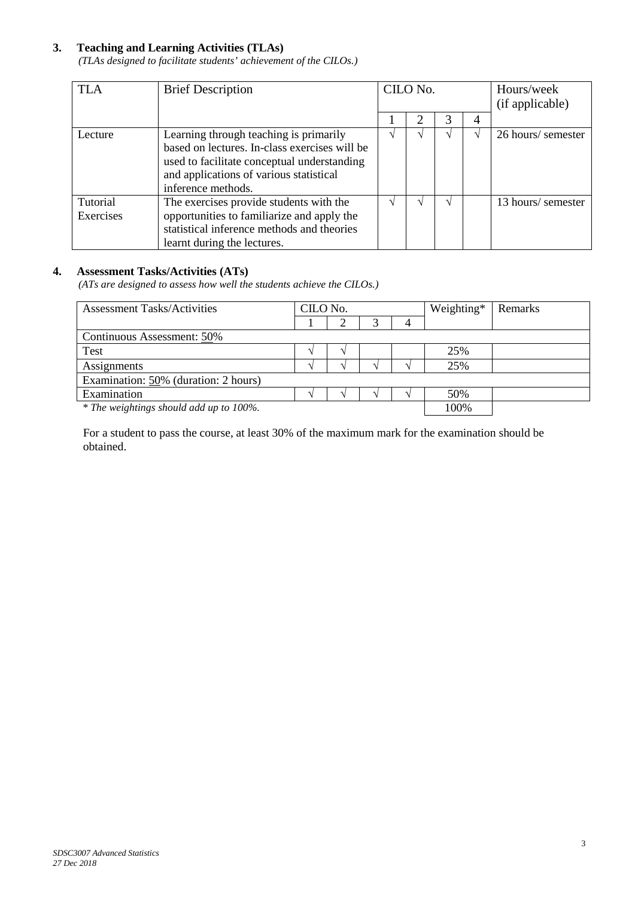### **3. Teaching and Learning Activities (TLAs)**

*(TLAs designed to facilitate students' achievement of the CILOs.)*

| <b>TLA</b>            | <b>Brief Description</b>                                                                                                                                                                                | CILO No. |   | Hours/week<br>(if applicable) |                    |
|-----------------------|---------------------------------------------------------------------------------------------------------------------------------------------------------------------------------------------------------|----------|---|-------------------------------|--------------------|
|                       |                                                                                                                                                                                                         |          | ∍ | 4                             |                    |
| Lecture               | Learning through teaching is primarily<br>based on lectures. In-class exercises will be<br>used to facilitate conceptual understanding<br>and applications of various statistical<br>inference methods. |          |   |                               | 26 hours/ semester |
| Tutorial<br>Exercises | The exercises provide students with the<br>opportunities to familiarize and apply the<br>statistical inference methods and theories<br>learnt during the lectures.                                      |          |   |                               | 13 hours/ semester |

### **4. Assessment Tasks/Activities (ATs)**

*(ATs are designed to assess how well the students achieve the CILOs.)*

| <b>Assessment Tasks/Activities</b>      | CILO No. |  |  |  | Weighting* | Remarks |  |
|-----------------------------------------|----------|--|--|--|------------|---------|--|
|                                         |          |  |  |  |            |         |  |
| Continuous Assessment: 50%              |          |  |  |  |            |         |  |
| Test                                    |          |  |  |  | 25%        |         |  |
| Assignments                             |          |  |  |  | 25%        |         |  |
| Examination: $50\%$ (duration: 2 hours) |          |  |  |  |            |         |  |
| Examination                             |          |  |  |  | 50%        |         |  |
| * The weightings should add up to 100%. |          |  |  |  | 100%       |         |  |

For a student to pass the course, at least 30% of the maximum mark for the examination should be obtained.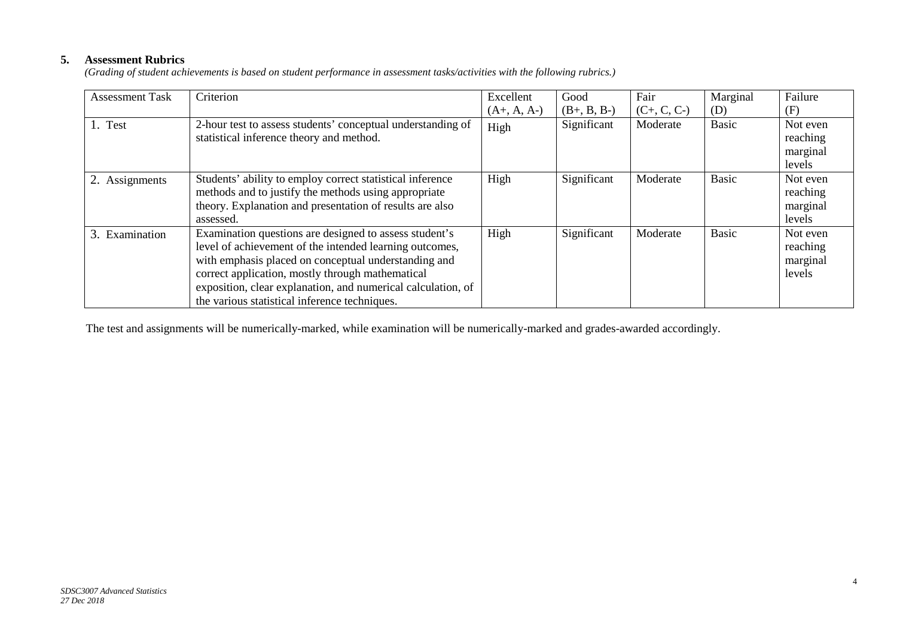## **5. Assessment Rubrics**

*(Grading of student achievements is based on student performance in assessment tasks/activities with the following rubrics.)*

| <b>Assessment Task</b> | Criterion                                                                                                                                                                                                                                                                                                                                      | Excellent     | Good          | Fair          | Marginal     | Failure                                    |
|------------------------|------------------------------------------------------------------------------------------------------------------------------------------------------------------------------------------------------------------------------------------------------------------------------------------------------------------------------------------------|---------------|---------------|---------------|--------------|--------------------------------------------|
|                        |                                                                                                                                                                                                                                                                                                                                                | $(A+, A, A-)$ | $(B+, B, B-)$ | $(C+, C, C-)$ | (D)          | (F)                                        |
| 1. Test                | 2-hour test to assess students' conceptual understanding of<br>statistical inference theory and method.                                                                                                                                                                                                                                        | High          | Significant   | Moderate      | <b>Basic</b> | Not even<br>reaching<br>marginal<br>levels |
| Assignments            | Students' ability to employ correct statistical inference<br>methods and to justify the methods using appropriate<br>theory. Explanation and presentation of results are also<br>assessed.                                                                                                                                                     | High          | Significant   | Moderate      | <b>Basic</b> | Not even<br>reaching<br>marginal<br>levels |
| 3. Examination         | Examination questions are designed to assess student's<br>level of achievement of the intended learning outcomes,<br>with emphasis placed on conceptual understanding and<br>correct application, mostly through mathematical<br>exposition, clear explanation, and numerical calculation, of<br>the various statistical inference techniques. | High          | Significant   | Moderate      | <b>Basic</b> | Not even<br>reaching<br>marginal<br>levels |

The test and assignments will be numerically-marked, while examination will be numerically-marked and grades-awarded accordingly.